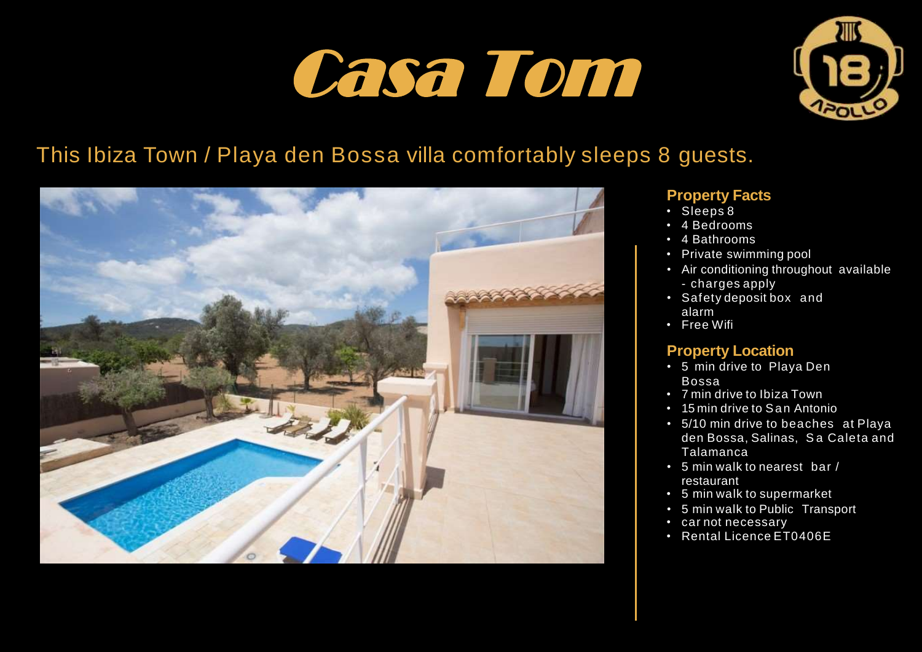# Casa Tom



# This Ibiza Town / Playa den Bossa villa comfortably sleeps 8 guests.



# **Property Facts**

- Sleeps 8
- 4 Bedrooms
- 4 Bathrooms
- Private swimming pool
- Air conditioning throughout available - charges apply
- Safety deposit box and alarm
- Free Wifi

# **Property Location**

- 5 min drive to Playa Den Bossa
- 7 min drive to Ibiza Town
- 15 min drive to San Antonio
- 5/10 min drive to beaches at Playa den Bossa, Salinas, Sa Caleta and Talamanca
- 5 min walk to nearest bar / restaurant
- 5 min walk to supermarket
- 5 min walk to Public Transport
- car not necessary
- Rental Licence ET0406E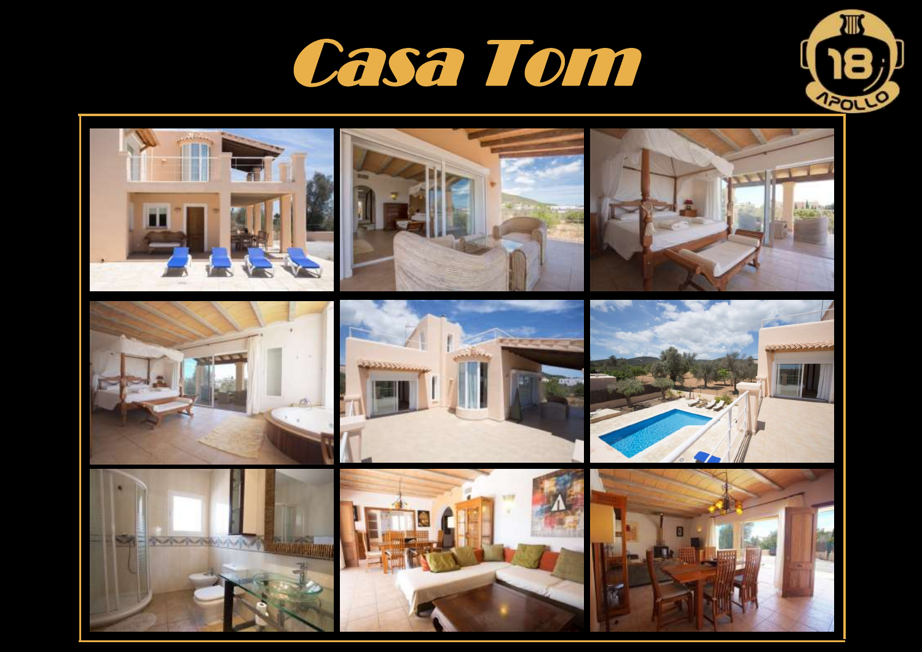



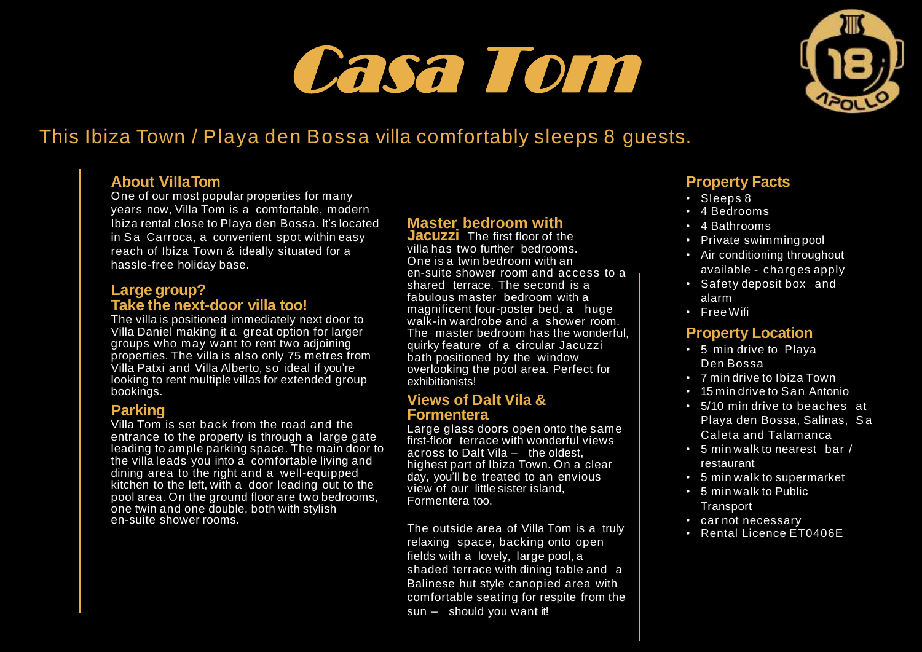# Casa Tom



# This Ibiza Town / Playa den Bossa villa comfortably sleeps 8 guests.

## **About VillaTom**

One of our most popular properties for many years now, Villa Tom is a comfortable, modern Ibiza rental close to Playa den Bossa. It's located in Sa Carroca, a convenient spot within easy reach of Ibiza Town & ideally situated for a hassle-free holiday base.

#### **Large group? Take the next-door villa too!**

The villa is positioned immediately next door to Villa Daniel making it a great option for larger groups who may want to rent two adjoining properties. The villa is also only 75 metres from Villa Patxi and Villa Alberto, so ideal if you're looking to rent multiple villas for extended group bookings.

### **Parking**

Villa Tom is set back from the road and the entrance to the property is through a large gate leading to ample parking space. The main door to the villa leads you into a comfortable living and dining area to the right and a well-equipped kitchen to the left, with a door leading out to the pool area. On the ground floor are two bedrooms, one twin and one double, both with stylish en-suite shower rooms.

# **Master bedroom with**

**Jacuzzi** The first floor of the villa has two further bedrooms. One is a twin bedroom with an en-suite shower room and access to a shared terrace. The second is a fabulous master bedroom with a magnificent four-poster bed, a huge walk-in wardrobe and a shower room. The master bedroom has the wonderful, quirky feature of a circular Jacuzzi bath positioned by the window overlooking the pool area. Perfect for exhibitionists!

#### **Views of Dalt Vila & Formentera**

Large glass doors open onto the same first-floor terrace with wonderful views across to Dalt Vila – the oldest, highest part of Ibiza Town. On a clear day, you'll be treated to an envious view of our little sister island, Formentera too.

The outside area of Villa Tom is a truly relaxing space, backing onto open fields with a lovely, large pool, a shaded terrace with dining table and a Balinese hut style canopied area with comfortable seating for respite from the sun – should you want it!

## **Property Facts**

- Sleeps 8
- 4 Bedrooms
- 4 Bathrooms
- Private swimming pool
- Air conditioning throughout available - charges apply
- Safety deposit box and alarm
- FreeWifi

### **Property Location**

- 5 min drive to Playa Den Bossa
- 7 min drive to Ibiza Town
- 15 min drive to San Antonio
- 5/10 min drive to beaches at Playa den Bossa, Salinas, S a Caleta and Talamanca
- 5 min walk to nearest bar / restaurant
- 5 min walk to supermarket
- 5 min walk to Public **Transport**
- car not necessary
- Rental Licence ET0406E